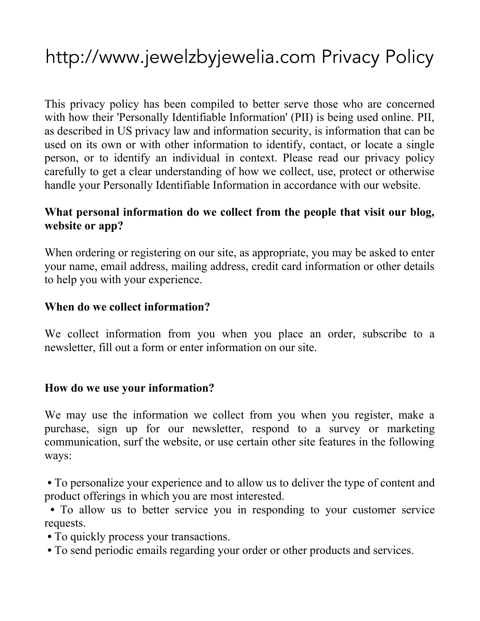# http://www.jewelzbyjewelia.com Privacy Policy

This privacy policy has been compiled to better serve those who are concerned with how their 'Personally Identifiable Information' (PII) is being used online. PII, as described in US privacy law and information security, is information that can be used on its own or with other information to identify, contact, or locate a single person, or to identify an individual in context. Please read our privacy policy carefully to get a clear understanding of how we collect, use, protect or otherwise handle your Personally Identifiable Information in accordance with our website.

#### **What personal information do we collect from the people that visit our blog, website or app?**

When ordering or registering on our site, as appropriate, you may be asked to enter your name, email address, mailing address, credit card information or other details to help you with your experience.

#### **When do we collect information?**

We collect information from you when you place an order, subscribe to a newsletter, fill out a form or enter information on our site.

#### **How do we use your information?**

We may use the information we collect from you when you register, make a purchase, sign up for our newsletter, respond to a survey or marketing communication, surf the website, or use certain other site features in the following ways:

**•** To personalize your experience and to allow us to deliver the type of content and product offerings in which you are most interested.

**•** To allow us to better service you in responding to your customer service requests.

**•** To quickly process your transactions.

**•** To send periodic emails regarding your order or other products and services.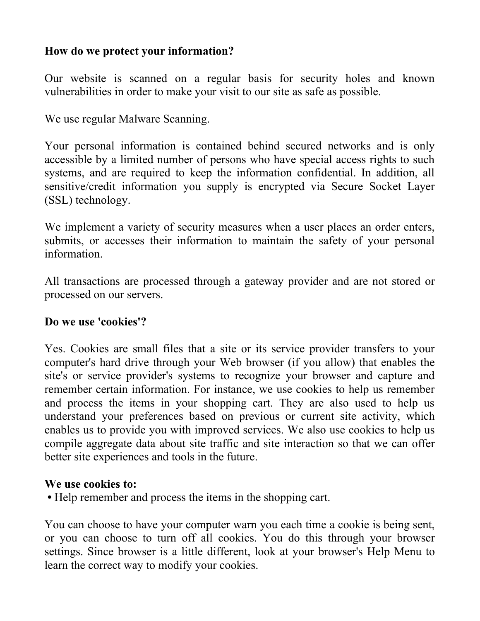## **How do we protect your information?**

Our website is scanned on a regular basis for security holes and known vulnerabilities in order to make your visit to our site as safe as possible.

We use regular Malware Scanning.

Your personal information is contained behind secured networks and is only accessible by a limited number of persons who have special access rights to such systems, and are required to keep the information confidential. In addition, all sensitive/credit information you supply is encrypted via Secure Socket Layer (SSL) technology.

We implement a variety of security measures when a user places an order enters, submits, or accesses their information to maintain the safety of your personal information.

All transactions are processed through a gateway provider and are not stored or processed on our servers.

#### **Do we use 'cookies'?**

Yes. Cookies are small files that a site or its service provider transfers to your computer's hard drive through your Web browser (if you allow) that enables the site's or service provider's systems to recognize your browser and capture and remember certain information. For instance, we use cookies to help us remember and process the items in your shopping cart. They are also used to help us understand your preferences based on previous or current site activity, which enables us to provide you with improved services. We also use cookies to help us compile aggregate data about site traffic and site interaction so that we can offer better site experiences and tools in the future.

#### **We use cookies to:**

**•** Help remember and process the items in the shopping cart.

You can choose to have your computer warn you each time a cookie is being sent, or you can choose to turn off all cookies. You do this through your browser settings. Since browser is a little different, look at your browser's Help Menu to learn the correct way to modify your cookies.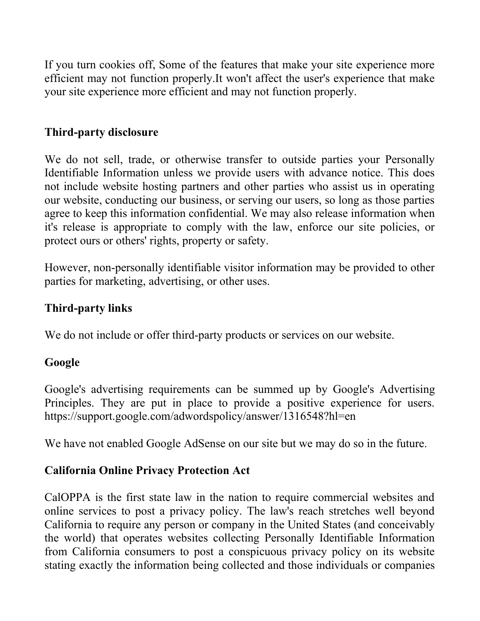If you turn cookies off, Some of the features that make your site experience more efficient may not function properly.It won't affect the user's experience that make your site experience more efficient and may not function properly.

## **Third-party disclosure**

We do not sell, trade, or otherwise transfer to outside parties your Personally Identifiable Information unless we provide users with advance notice. This does not include website hosting partners and other parties who assist us in operating our website, conducting our business, or serving our users, so long as those parties agree to keep this information confidential. We may also release information when it's release is appropriate to comply with the law, enforce our site policies, or protect ours or others' rights, property or safety.

However, non-personally identifiable visitor information may be provided to other parties for marketing, advertising, or other uses.

#### **Third-party links**

We do not include or offer third-party products or services on our website.

#### **Google**

Google's advertising requirements can be summed up by Google's Advertising Principles. They are put in place to provide a positive experience for users. https://support.google.com/adwordspolicy/answer/1316548?hl=en

We have not enabled Google AdSense on our site but we may do so in the future.

#### **California Online Privacy Protection Act**

CalOPPA is the first state law in the nation to require commercial websites and online services to post a privacy policy. The law's reach stretches well beyond California to require any person or company in the United States (and conceivably the world) that operates websites collecting Personally Identifiable Information from California consumers to post a conspicuous privacy policy on its website stating exactly the information being collected and those individuals or companies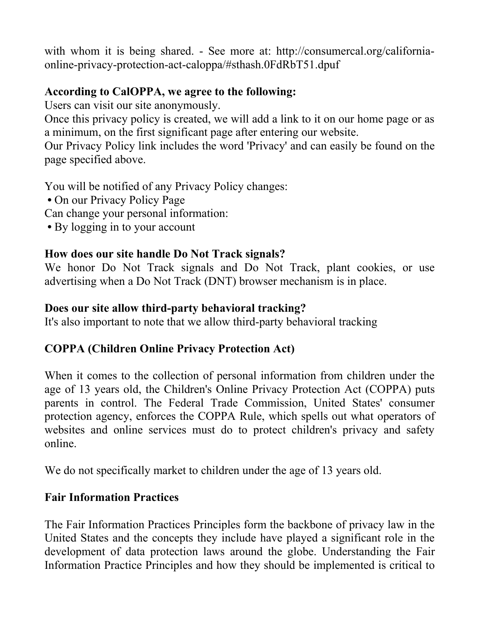with whom it is being shared. - See more at: http://consumercal.org/californiaonline-privacy-protection-act-caloppa/#sthash.0FdRbT51.dpuf

## **According to CalOPPA, we agree to the following:**

Users can visit our site anonymously.

Once this privacy policy is created, we will add a link to it on our home page or as a minimum, on the first significant page after entering our website.

Our Privacy Policy link includes the word 'Privacy' and can easily be found on the page specified above.

You will be notified of any Privacy Policy changes:

- **•** On our Privacy Policy Page
- Can change your personal information:
- **•** By logging in to your account

## **How does our site handle Do Not Track signals?**

We honor Do Not Track signals and Do Not Track, plant cookies, or use advertising when a Do Not Track (DNT) browser mechanism is in place.

## **Does our site allow third-party behavioral tracking?**

It's also important to note that we allow third-party behavioral tracking

## **COPPA (Children Online Privacy Protection Act)**

When it comes to the collection of personal information from children under the age of 13 years old, the Children's Online Privacy Protection Act (COPPA) puts parents in control. The Federal Trade Commission, United States' consumer protection agency, enforces the COPPA Rule, which spells out what operators of websites and online services must do to protect children's privacy and safety online.

We do not specifically market to children under the age of 13 years old.

## **Fair Information Practices**

The Fair Information Practices Principles form the backbone of privacy law in the United States and the concepts they include have played a significant role in the development of data protection laws around the globe. Understanding the Fair Information Practice Principles and how they should be implemented is critical to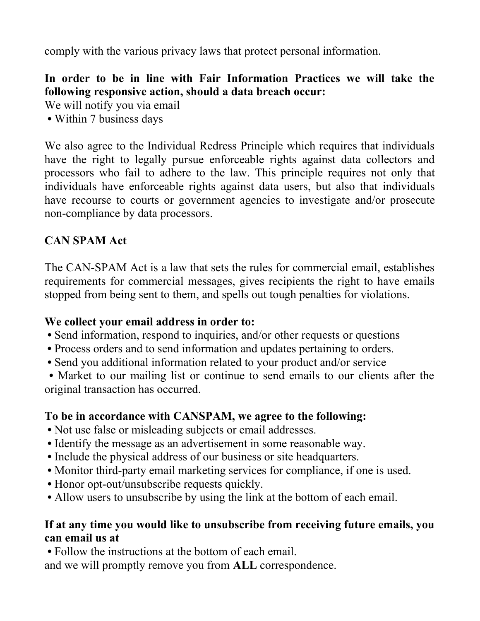comply with the various privacy laws that protect personal information.

## **In order to be in line with Fair Information Practices we will take the following responsive action, should a data breach occur:**

We will notify you via email

**•** Within 7 business days

We also agree to the Individual Redress Principle which requires that individuals have the right to legally pursue enforceable rights against data collectors and processors who fail to adhere to the law. This principle requires not only that individuals have enforceable rights against data users, but also that individuals have recourse to courts or government agencies to investigate and/or prosecute non-compliance by data processors.

## **CAN SPAM Act**

The CAN-SPAM Act is a law that sets the rules for commercial email, establishes requirements for commercial messages, gives recipients the right to have emails stopped from being sent to them, and spells out tough penalties for violations.

## **We collect your email address in order to:**

- **•** Send information, respond to inquiries, and/or other requests or questions
- **•** Process orders and to send information and updates pertaining to orders.
- **•** Send you additional information related to your product and/or service

**•** Market to our mailing list or continue to send emails to our clients after the original transaction has occurred.

## **To be in accordance with CANSPAM, we agree to the following:**

- **•** Not use false or misleading subjects or email addresses.
- **•** Identify the message as an advertisement in some reasonable way.
- **•** Include the physical address of our business or site headquarters.
- **•** Monitor third-party email marketing services for compliance, if one is used.
- **•** Honor opt-out/unsubscribe requests quickly.
- **•** Allow users to unsubscribe by using the link at the bottom of each email.

## **If at any time you would like to unsubscribe from receiving future emails, you can email us at**

**•** Follow the instructions at the bottom of each email. and we will promptly remove you from **ALL** correspondence.